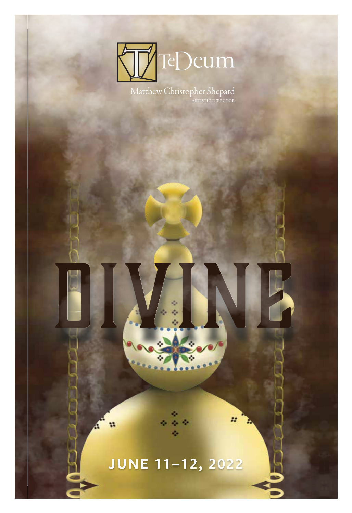

Matthew Christopher Shepard

# JUNE 11-12, 2022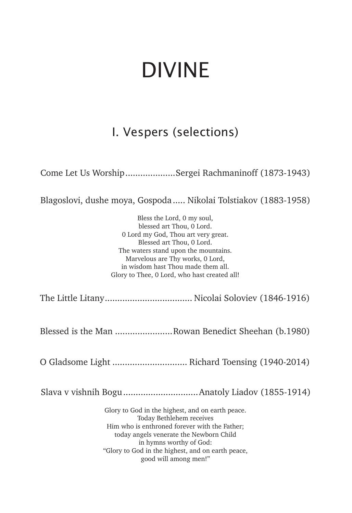# DIVINE

# I. Vespers (selections)

Come Let Us Worship....................Sergei Rachmaninoff (1873-1943)

Blagoslovi, dushe moya, Gospoda..... Nikolai Tolstiakov (1883-1958)

Bless the Lord, 0 my soul, blessed art Thou, 0 Lord. 0 Lord my God, Thou art very great. Blessed art Thou, 0 Lord. The waters stand upon the mountains. Marvelous are Thy works, 0 Lord, in wisdom hast Thou made them all. Glory to Thee, 0 Lord, who hast created all!

The Little Litany................................... Nicolai Soloviev (1846-1916)

Blessed is the Man .......................Rowan Benedict Sheehan (b.1980)

O Gladsome Light .............................. Richard Toensing (1940-2014)

Slava v vishnih Bogu..............................Anatoly Liadov (1855-1914)

Glory to God in the highest, and on earth peace. Today Bethlehem receives Him who is enthroned forever with the Father; today angels venerate the Newborn Child in hymns worthy of God: "Glory to God in the highest, and on earth peace, good will among men!"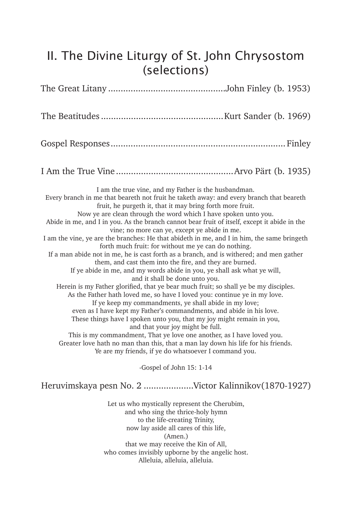# II. The Divine Liturgy of St. John Chrysostom (selections)

| I am the true vine, and my Father is the husbandman.<br>Every branch in me that beareth not fruit he taketh away: and every branch that beareth<br>fruit, he purgeth it, that it may bring forth more fruit.<br>Now ye are clean through the word which I have spoken unto you.<br>Abide in me, and I in you. As the branch cannot bear fruit of itself, except it abide in the<br>vine; no more can ye, except ye abide in me.<br>I am the vine, ye are the branches: He that abideth in me, and I in him, the same bringeth<br>forth much fruit: for without me ye can do nothing.<br>If a man abide not in me, he is cast forth as a branch, and is withered; and men gather<br>them, and cast them into the fire, and they are burned.<br>If ye abide in me, and my words abide in you, ye shall ask what ye will,<br>and it shall be done unto you.<br>Herein is my Father glorified, that ye bear much fruit; so shall ye be my disciples.<br>As the Father hath loved me, so have I loved you: continue ye in my love.<br>If ye keep my commandments, ye shall abide in my love;<br>even as I have kept my Father's commandments, and abide in his love.<br>These things have I spoken unto you, that my joy might remain in you,<br>and that your joy might be full.<br>This is my commandment, That ye love one another, as I have loved you.<br>Greater love hath no man than this, that a man lay down his life for his friends.<br>Ye are my friends, if ye do whatsoever I command you.<br>-Gospel of John 15: 1-14 |
|----------------------------------------------------------------------------------------------------------------------------------------------------------------------------------------------------------------------------------------------------------------------------------------------------------------------------------------------------------------------------------------------------------------------------------------------------------------------------------------------------------------------------------------------------------------------------------------------------------------------------------------------------------------------------------------------------------------------------------------------------------------------------------------------------------------------------------------------------------------------------------------------------------------------------------------------------------------------------------------------------------------------------------------------------------------------------------------------------------------------------------------------------------------------------------------------------------------------------------------------------------------------------------------------------------------------------------------------------------------------------------------------------------------------------------------------------------------------------------------------------------------------------------|
|                                                                                                                                                                                                                                                                                                                                                                                                                                                                                                                                                                                                                                                                                                                                                                                                                                                                                                                                                                                                                                                                                                                                                                                                                                                                                                                                                                                                                                                                                                                                  |
| Heruvimskaya pesn No. 2 Victor Kalinnikov(1870-1927)                                                                                                                                                                                                                                                                                                                                                                                                                                                                                                                                                                                                                                                                                                                                                                                                                                                                                                                                                                                                                                                                                                                                                                                                                                                                                                                                                                                                                                                                             |
| Let us who mystically represent the Cherubim,<br>and who sing the thrice-holy hymn<br>to the life-creating Trinity,<br>now lay aside all cares of this life,<br>(Amen.)<br>that we may receive the Kin of All,                                                                                                                                                                                                                                                                                                                                                                                                                                                                                                                                                                                                                                                                                                                                                                                                                                                                                                                                                                                                                                                                                                                                                                                                                                                                                                                   |

who comes invisibly upborne by the angelic host.

Alleluia, alleluia, alleluia.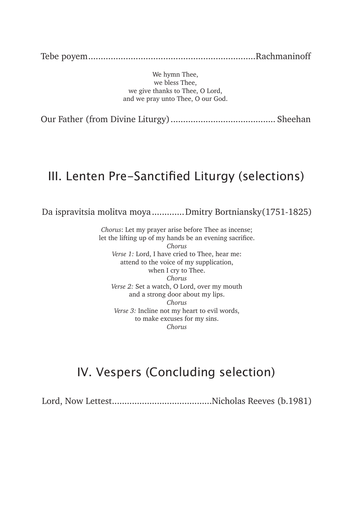Tebe poyem...................................................................Rachmaninoff

We hymn Thee, we bless Thee, we give thanks to Thee, O Lord, and we pray unto Thee, O our God.

Our Father (from Divine Liturgy).......................................... Sheehan

## III. Lenten Pre-Sanctified Liturgy (selections)

Da ispravitsia molitva moya.............Dmitry Bortniansky(1751-1825)

*Chorus*: Let my prayer arise before Thee as incense; let the lifting up of my hands be an evening sacrifice. *Chorus Verse 1:* Lord, I have cried to Thee, hear me: attend to the voice of my supplication, when I cry to Thee. *Chorus Verse 2:* Set a watch, O Lord, over my mouth and a strong door about my lips. *Chorus Verse 3:* Incline not my heart to evil words, to make excuses for my sins. *Chorus*

# IV. Vespers (Concluding selection)

Lord, Now Lettest........................................Nicholas Reeves (b.1981)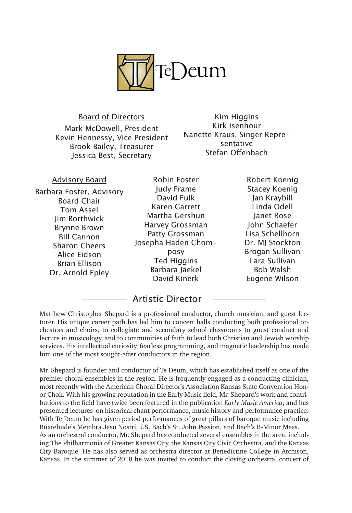

Board of Directors Mark McDowell, President Kevin Hennessy, Vice President Brook Bailey, Treasurer Jessica Best, Secretary

Kim Higgins Kirk Isenhour Nanette Kraus, Singer Representative Stefan Offenbach

| <b>Advisory Board</b>    | Robin Foster        | Robert Koenig        |
|--------------------------|---------------------|----------------------|
| Barbara Foster, Advisory | Judy Frame          | <b>Stacey Koenig</b> |
| <b>Board Chair</b>       | David Fulk          | Jan Kraybill         |
| Tom Assel                | Karen Garrett       | Linda Odell          |
| Jim Borthwick            | Martha Gershun      | Janet Rose           |
| <b>Brynne Brown</b>      | Harvey Grossman     | John Schaefer        |
| <b>Bill Cannon</b>       | Patty Grossman      | Lisa Schellhorn      |
| <b>Sharon Cheers</b>     | Josepha Haden Chom- | Dr. MJ Stocktor      |
| Alice Eidson             | posy                | Brogan Sullivan      |
| Brian Ellison            | <b>Ted Higgins</b>  | Lara Sullivan        |
| Dr. Arnold Epley         | Barbara Jaekel      | Bob Walsh            |
|                          | David Kinerk        | Eugene Wilson        |
|                          |                     |                      |

————— Artistic Director ——————

Matthew Christopher Shepard is a professional conductor, church musician, and guest lecturer. His unique career path has led him to concert halls conducting both professional orchestras and choirs, to collegiate and secondary school classrooms to guest conduct and lecture in musicology, and to communities of faith to lead both Christian and Jewish worship services. His intellectual curiosity, fearless programming, and magnetic leadership has made him one of the most sought-after conductors in the region.

Mr. Shepard is founder and conductor of Te Deum, which has established itself as one of the premier choral ensembles in the region. He is frequently engaged as a conducting clinician, most recently with the American Choral Director's Association Kansas State Convention Honor Choir. With his growing reputation in the Early Music field, Mr. Shepard's work and contributions to the field have twice been featured in the publication *Early Music America*, and has presented lectures on historical chant performance, music history and performance practice. With Te Deum he has given period performances of great pillars of baroque music including Buxtehude's Membra Jesu Nostri, J.S. Bach's St. John Passion, and Bach's B-Minor Mass. As an orchestral conductor, Mr. Shepard has conducted several ensembles in the area, including The Philharmonia of Greater Kansas City, the Kansas City Civic Orchestra, and the Kansas City Baroque. He has also served as orchestra director at Benedictine College in Atchison, Kansas. In the summer of 2018 he was invited to conduct the closing orchestral concert of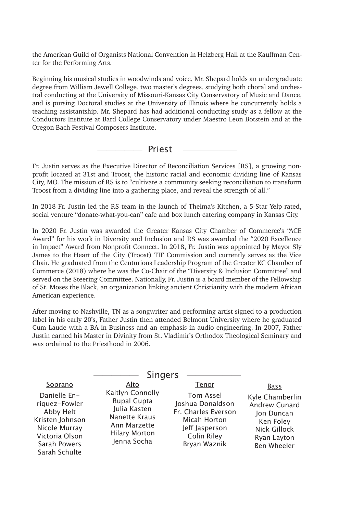the American Guild of Organists National Convention in Helzberg Hall at the Kauffman Center for the Performing Arts.

Beginning his musical studies in woodwinds and voice, Mr. Shepard holds an undergraduate degree from William Jewell College, two master's degrees, studying both choral and orchestral conducting at the University of Missouri-Kansas City Conservatory of Music and Dance, and is pursing Doctoral studies at the University of Illinois where he concurrently holds a teaching assistantship. Mr. Shepard has had additional conducting study as a fellow at the Conductors Institute at Bard College Conservatory under Maestro Leon Botstein and at the Oregon Bach Festival Composers Institute.

————— Priest ——————

Fr. Justin serves as the Executive Director of Reconciliation Services [RS], a growing nonprofit located at 31st and Troost, the historic racial and economic dividing line of Kansas City, MO. The mission of RS is to "cultivate a community seeking reconciliation to transform Troost from a dividing line into a gathering place, and reveal the strength of all."

In 2018 Fr. Justin led the RS team in the launch of Thelma's Kitchen, a 5-Star Yelp rated, social venture "donate-what-you-can" cafe and box lunch catering company in Kansas City.

In 2020 Fr. Justin was awarded the Greater Kansas City Chamber of Commerce's "ACE Award" for his work in Diversity and Inclusion and RS was awarded the "2020 Excellence in Impact" Award from Nonprofit Connect. In 2018, Fr. Justin was appointed by Mayor Sly James to the Heart of the City (Troost) TIF Commission and currently serves as the Vice Chair. He graduated from the Centurions Leadership Program of the Greater KC Chamber of Commerce (2018) where he was the Co-Chair of the "Diversity & Inclusion Committee" and served on the Steering Committee. Nationally, Fr. Justin is a board member of the Fellowship of St. Moses the Black, an organization linking ancient Christianity with the modern African American experience.

After moving to Nashville, TN as a songwriter and performing artist signed to a production label in his early 20's, Father Justin then attended Belmont University where he graduated Cum Laude with a BA in Business and an emphasis in audio engineering. In 2007, Father Justin earned his Master in Divinity from St. Vladimir's Orthodox Theological Seminary and was ordained to the Priesthood in 2006.

|                                                                                                                                              | <b>Singers</b>                                                                                                                         |                                                                                                                                       |                                                                                                                          |
|----------------------------------------------------------------------------------------------------------------------------------------------|----------------------------------------------------------------------------------------------------------------------------------------|---------------------------------------------------------------------------------------------------------------------------------------|--------------------------------------------------------------------------------------------------------------------------|
| Soprano<br>Danielle En-<br>riquez-Fowler<br>Abby Helt<br>Kristen Johnson<br>Nicole Murray<br>Victoria Olson<br>Sarah Powers<br>Sarah Schulte | Alto<br>Kaitlyn Connolly<br><b>Rupal Gupta</b><br>Julia Kasten<br>Nanette Kraus<br>Ann Marzette<br><b>Hilary Morton</b><br>Jenna Socha | Tenor<br><b>Tom Assel</b><br>Joshua Donaldson<br>Fr. Charles Everson<br>Micah Horton<br>Jeff Jasperson<br>Colin Riley<br>Bryan Waznik | Bass<br>Kyle Chamberlin<br><b>Andrew Cunard</b><br>Jon Duncan<br>Ken Foley<br>Nick Gillock<br>Ryan Layton<br>Ben Wheeler |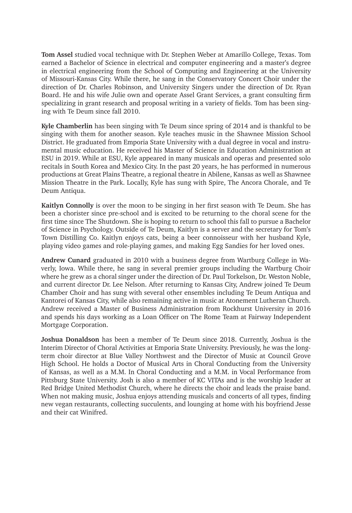**Tom Assel** studied vocal technique with Dr. Stephen Weber at Amarillo College, Texas. Tom earned a Bachelor of Science in electrical and computer engineering and a master's degree in electrical engineering from the School of Computing and Engineering at the University of Missouri-Kansas City. While there, he sang in the Conservatory Concert Choir under the direction of Dr. Charles Robinson, and University Singers under the direction of Dr. Ryan Board. He and his wife Julie own and operate Assel Grant Services, a grant consulting firm specializing in grant research and proposal writing in a variety of fields. Tom has been singing with Te Deum since fall 2010.

**Kyle Chamberlin** has been singing with Te Deum since spring of 2014 and is thankful to be singing with them for another season. Kyle teaches music in the Shawnee Mission School District. He graduated from Emporia State University with a dual degree in vocal and instrumental music education. He received his Master of Science in Education Administration at ESU in 2019. While at ESU, Kyle appeared in many musicals and operas and presented solo recitals in South Korea and Mexico City. In the past 20 years, he has performed in numerous productions at Great Plains Theatre, a regional theatre in Abilene, Kansas as well as Shawnee Mission Theatre in the Park. Locally, Kyle has sung with Spire, The Ancora Chorale, and Te Deum Antiqua.

**Kaitlyn Connolly** is over the moon to be singing in her first season with Te Deum. She has been a chorister since pre-school and is excited to be returning to the choral scene for the first time since The Shutdown. She is hoping to return to school this fall to pursue a Bachelor of Science in Psychology. Outside of Te Deum, Kaitlyn is a server and the secretary for Tom's Town Distilling Co. Kaitlyn enjoys cats, being a beer connoisseur with her husband Kyle, playing video games and role-playing games, and making Egg Sandies for her loved ones.

**Andrew Cunard** graduated in 2010 with a business degree from Wartburg College in Waverly, Iowa. While there, he sang in several premier groups including the Wartburg Choir where he grew as a choral singer under the direction of Dr. Paul Torkelson, Dr. Weston Noble, and current director Dr. Lee Nelson. After returning to Kansas City, Andrew joined Te Deum Chamber Choir and has sung with several other ensembles including Te Deum Antiqua and Kantorei of Kansas City, while also remaining active in music at Atonement Lutheran Church. Andrew received a Master of Business Administration from Rockhurst University in 2016 and spends his days working as a Loan Officer on The Rome Team at Fairway Independent Mortgage Corporation.

**Joshua Donaldson** has been a member of Te Deum since 2018. Currently, Joshua is the Interim Director of Choral Activities at Emporia State University. Previously, he was the longterm choir director at Blue Valley Northwest and the Director of Music at Council Grove High School. He holds a Doctor of Musical Arts in Choral Conducting from the University of Kansas, as well as a M.M. In Choral Conducting and a M.M. in Vocal Performance from Pittsburg State University. Josh is also a member of KC VITAs and is the worship leader at Red Bridge United Methodist Church, where he directs the choir and leads the praise band. When not making music, Joshua enjoys attending musicals and concerts of all types, finding new vegan restaurants, collecting succulents, and lounging at home with his boyfriend Jesse and their cat Winifred.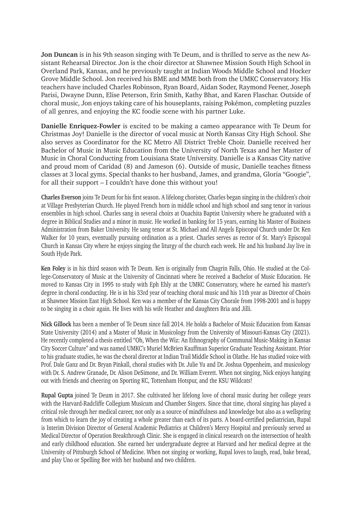**Jon Duncan** is in his 9th season singing with Te Deum, and is thrilled to serve as the new Assistant Rehearsal Director. Jon is the choir director at Shawnee Mission South High School in Overland Park, Kansas, and he previously taught at Indian Woods Middle School and Hocker Grove Middle School. Jon received his BME and MME both from the UMKC Conservatory. His teachers have included Charles Robinson, Ryan Board, Aidan Soder, Raymond Feener, Joseph Parisi, Dwayne Dunn, Elise Peterson, Erin Smith, Kathy Bhat, and Karen Flaschar. Outside of choral music, Jon enjoys taking care of his houseplants, raising Pokémon, completing puzzles of all genres, and enjoying the KC foodie scene with his partner Luke.

**Danielle Enriquez-Fowler** is excited to be making a cameo appearance with Te Deum for Christmas Joy! Danielle is the director of vocal music at North Kansas City High School. She also serves as Coordinator for the KC Metro All District Treble Choir. Danielle received her Bachelor of Music in Music Education from the University of North Texas and her Master of Music in Choral Conducting from Louisiana State University. Danielle is a Kansas City native and proud mom of Caridad (8) and Jameson (6). Outside of music, Danielle teaches fitness classes at 3 local gyms. Special thanks to her husband, James, and grandma, Gloria "Googie", for all their support – I couldn't have done this without you!

**Charles Everson** joins Te Deum for his first season. A lifelong chorister, Charles began singing in the children's choir at Village Presbyterian Church. He played French horn in middle school and high school and sang tenor in various ensembles in high school. Charles sang in several choirs at Ouachita Baptist University where he graduated with a degree in Biblical Studies and a minor in music. He worked in banking for 15 years, earning his Master of Business Administration from Baker University. He sang tenor at St. Michael and All Angels Episcopal Church under Dr. Ken Walker for 10 years, eventually pursuing ordination as a priest. Charles serves as rector of St. Mary's Episcopal Church in Kansas City where he enjoys singing the liturgy of the church each week. He and his husband Jay live in South Hyde Park.

**Ken Foley** is in his third season with Te Deum. Ken is originally from Chagrin Falls, Ohio. He studied at the College-Conservatory of Music at the University of Cincinnati where he received a Bachelor of Music Education. He moved to Kansas City in 1995 to study with Eph Ehly at the UMKC Conservatory, where he earned his master's degree in choral conducting. He is in his 33rd year of teaching choral music and his 11th year as Director of Choirs at Shawnee Mission East High School. Ken was a member of the Kansas City Chorale from 1998-2001 and is happy to be singing in a choir again. He lives with his wife Heather and daughters Bria and Jilli.

**Nick Gillock** has been a member of Te Deum since fall 2014. He holds a Bachelor of Music Education from Kansas State University (2014) and a Master of Music in Musicology from the University of Missouri-Kansas City (2021). He recently completed a thesis entitled "Oh, When the Wiz: An Ethnography of Communal Music-Making in Kansas City Soccer Culture" and was named UMKC's Muriel McBrien Kauffman Superior Graduate Teaching Assistant. Prior to his graduate studies, he was the choral director at Indian Trail Middle School in Olathe. He has studied voice with Prof. Dale Ganz and Dr. Bryan Pinkall, choral studies with Dr. Julie Yu and Dr. Joshua Oppenheim, and musicology with Dr. S. Andrew Granade, Dr. Alison DeSimone, and Dr. William Everett. When not singing, Nick enjoys hanging out with friends and cheering on Sporting KC, Tottenham Hotspur, and the KSU Wildcats!

**Rupal Gupta** joined Te Deum in 2017. She cultivated her lifelong love of choral music during her college years with the Harvard-Radcliffe Collegium Musicum and Chamber Singers. Since that time, choral singing has played a critical role through her medical career, not only as a source of mindfulness and knowledge but also as a wellspring from which to learn the joy of creating a whole greater than each of its parts. A board-certified pediatrician, Rupal is Interim Division Director of General Academic Pediatrics at Children's Mercy Hospital and previously served as Medical Director of Operation Breakthrough Clinic. She is engaged in clinical research on the intersection of health and early childhood education. She earned her undergraduate degree at Harvard and her medical degree at the University of Pittsburgh School of Medicine. When not singing or working, Rupal loves to laugh, read, bake bread, and play Uno or Spelling Bee with her husband and two children.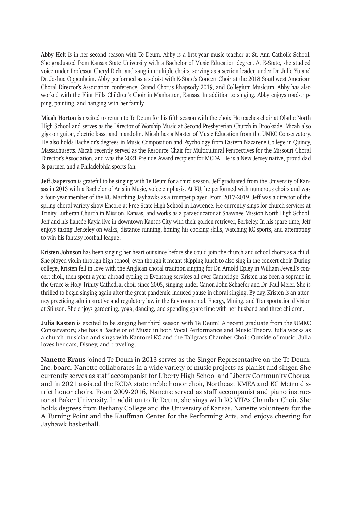**Abby Helt** is in her second season with Te Deum. Abby is a first-year music teacher at St. Ann Catholic School. She graduated from Kansas State University with a Bachelor of Music Education degree. At K-State, she studied voice under Professor Cheryl Richt and sang in multiple choirs, serving as a section leader, under Dr. Julie Yu and Dr. Joshua Oppenheim. Abby performed as a soloist with K-State's Concert Choir at the 2018 Southwest American Choral Director's Association conference, Grand Chorus Rhapsody 2019, and Collegium Musicum. Abby has also worked with the Flint Hills Children's Choir in Manhattan, Kansas. In addition to singing, Abby enjoys road-tripping, painting, and hanging with her family.

**Micah Horton** is excited to return to Te Deum for his fifth season with the choir. He teaches choir at Olathe North High School and serves as the Director of Worship Music at Second Presbyterian Church in Brookside. Micah also gigs on guitar, electric bass, and mandolin. Micah has a Master of Music Education from the UMKC Conservatory. He also holds Bachelor's degrees in Music Composition and Psychology from Eastern Nazarene College in Quincy, Massachusetts. Micah recently served as the Resource Chair for Multicultural Perspectives for the Missouri Choral Director's Association, and was the 2021 Prelude Award recipient for MCDA. He is a New Jersey native, proud dad & partner, and a Philadelphia sports fan.

**Jeff Jasperson** is grateful to be singing with Te Deum for a third season. Jeff graduated from the University of Kansas in 2013 with a Bachelor of Arts in Music, voice emphasis. At KU, he performed with numerous choirs and was a four-year member of the KU Marching Jayhawks as a trumpet player. From 2017-2019, Jeff was a director of the spring choral variety show Encore at Free State High School in Lawrence. He currently sings for church services at Trinity Lutheran Church in Mission, Kansas, and works as a paraeducator at Shawnee Mission North High School. Jeff and his fiancée Kayla live in downtown Kansas City with their golden retriever, Berkeley. In his spare time, Jeff enjoys taking Berkeley on walks, distance running, honing his cooking skills, watching KC sports, and attempting to win his fantasy football league.

**Kristen Johnson** has been singing her heart out since before she could join the church and school choirs as a child. She played violin through high school, even though it meant skipping lunch to also sing in the concert choir. During college, Kristen fell in love with the Anglican choral tradition singing for Dr. Arnold Epley in William Jewell's concert choir, then spent a year abroad cycling to Evensong services all over Cambridge. Kristen has been a soprano in the Grace & Holy Trinity Cathedral choir since 2005, singing under Canon John Schaefer and Dr. Paul Meier. She is thrilled to begin singing again after the great pandemic-induced pause in choral singing. By day, Kristen is an attorney practicing administrative and regulatory law in the Environmental, Energy, Mining, and Transportation division at Stinson. She enjoys gardening, yoga, dancing, and spending spare time with her husband and three children.

**Julia Kasten** is excited to be singing her third season with Te Deum! A recent graduate from the UMKC Conservatory, she has a Bachelor of Music in both Vocal Performance and Music Theory. Julia works as a church musician and sings with Kantorei KC and the Tallgrass Chamber Choir. Outside of music, Julia loves her cats, Disney, and traveling.

**Nanette Kraus** joined Te Deum in 2013 serves as the Singer Representative on the Te Deum, Inc. board. Nanette collaborates in a wide variety of music projects as pianist and singer. She currently serves as staff accompanist for Liberty High School and Liberty Community Chorus, and in 2021 assisted the KCDA state treble honor choir, Northeast KMEA and KC Metro district honor choirs. From 2009-2016, Nanette served as staff accompanist and piano instructor at Baker University. In addition to Te Deum, she sings with KC VITAs Chamber Choir. She holds degrees from Bethany College and the University of Kansas. Nanette volunteers for the A Turning Point and the Kauffman Center for the Performing Arts, and enjoys cheering for Jayhawk basketball.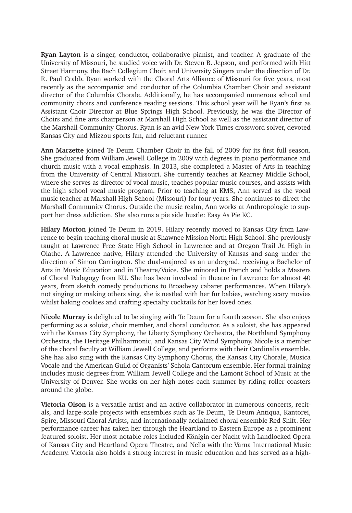**Ryan Layton** is a singer, conductor, collaborative pianist, and teacher. A graduate of the University of Missouri, he studied voice with Dr. Steven B. Jepson, and performed with Hitt Street Harmony, the Bach Collegium Choir, and University Singers under the direction of Dr. R. Paul Crabb. Ryan worked with the Choral Arts Alliance of Missouri for five years, most recently as the accompanist and conductor of the Columbia Chamber Choir and assistant director of the Columbia Chorale. Additionally, he has accompanied numerous school and community choirs and conference reading sessions. This school year will be Ryan's first as Assistant Choir Director at Blue Springs High School. Previously, he was the Director of Choirs and fine arts chairperson at Marshall High School as well as the assistant director of the Marshall Community Chorus. Ryan is an avid New York Times crossword solver, devoted Kansas City and Mizzou sports fan, and reluctant runner.

**Ann Marzette** joined Te Deum Chamber Choir in the fall of 2009 for its first full season. She graduated from William Jewell College in 2009 with degrees in piano performance and church music with a vocal emphasis. In 2013, she completed a Master of Arts in teaching from the University of Central Missouri. She currently teaches at Kearney Middle School, where she serves as director of vocal music, teaches popular music courses, and assists with the high school vocal music program. Prior to teaching at KMS, Ann served as the vocal music teacher at Marshall High School (Missouri) for four years. She continues to direct the Marshall Community Chorus. Outside the music realm, Ann works at Anthropologie to support her dress addiction. She also runs a pie side hustle: Easy As Pie KC.

**Hilary Morton** joined Te Deum in 2019. Hilary recently moved to Kansas City from Lawrence to begin teaching choral music at Shawnee Mission North High School. She previously taught at Lawrence Free State High School in Lawrence and at Oregon Trail Jr. High in Olathe. A Lawrence native, Hilary attended the University of Kansas and sang under the direction of Simon Carrington. She dual-majored as an undergrad, receiving a Bachelor of Arts in Music Education and in Theatre/Voice. She minored in French and holds a Masters of Choral Pedagogy from KU. She has been involved in theatre in Lawrence for almost 40 years, from sketch comedy productions to Broadway cabaret performances. When Hilary's not singing or making others sing, she is nestled with her fur babies, watching scary movies whilst baking cookies and crafting specialty cocktails for her loved ones.

**Nicole Murray** is delighted to be singing with Te Deum for a fourth season. She also enjoys performing as a soloist, choir member, and choral conductor. As a soloist, she has appeared with the Kansas City Symphony, the Liberty Symphony Orchestra, the Northland Symphony Orchestra, the Heritage Philharmonic, and Kansas City Wind Symphony. Nicole is a member of the choral faculty at William Jewell College, and performs with their Cardinalis ensemble. She has also sung with the Kansas City Symphony Chorus, the Kansas City Chorale, Musica Vocale and the American Guild of Organists' Schola Cantorum ensemble. Her formal training includes music degrees from William Jewell College and the Lamont School of Music at the University of Denver. She works on her high notes each summer by riding roller coasters around the globe.

**Victoria Olson** is a versatile artist and an active collaborator in numerous concerts, recitals, and large-scale projects with ensembles such as Te Deum, Te Deum Antiqua, Kantorei, Spire, Missouri Choral Artists, and internationally acclaimed choral ensemble Red Shift. Her performance career has taken her through the Heartland to Eastern Europe as a prominent featured soloist. Her most notable roles included Königin der Nacht with Landlocked Opera of Kansas City and Heartland Opera Theatre, and Nella with the Varna International Music Academy. Victoria also holds a strong interest in music education and has served as a high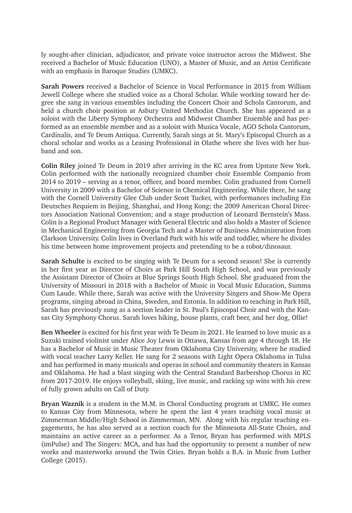ly sought-after clinician, adjudicator, and private voice instructor across the Midwest. She received a Bachelor of Music Education (UNO), a Master of Music, and an Artist Certificate with an emphasis in Baroque Studies (UMKC).

**Sarah Powers** received a Bachelor of Science in Vocal Performance in 2015 from William Jewell College where she studied voice as a Choral Scholar. While working toward her degree she sang in various ensembles including the Concert Choir and Schola Cantorum, and held a church choir position at Asbury United Methodist Church. She has appeared as a soloist with the Liberty Symphony Orchestra and Midwest Chamber Ensemble and has performed as an ensemble member and as a soloist with Musica Vocale, AGO Schola Cantorum, Cardinalis, and Te Deum Antiqua. Currently, Sarah sings at St. Mary's Episcopal Church as a choral scholar and works as a Leasing Professional in Olathe where she lives with her husband and son.

**Colin Riley** joined Te Deum in 2019 after arriving in the KC area from Upstate New York. Colin performed with the nationally recognized chamber choir Ensemble Companio from 2014 to 2019 – serving as a tenor, officer, and board member. Colin graduated from Cornell University in 2009 with a Bachelor of Science in Chemical Engineering. While there, he sang with the Cornell University Glee Club under Scott Tucker, with performances including Ein Deutsches Requiem in Beijing, Shanghai, and Hong Kong; the 2009 American Choral Directors Association National Convention; and a stage production of Leonard Bernstein's Mass. Colin is a Regional Product Manager with General Electric and also holds a Master of Science in Mechanical Engineering from Georgia Tech and a Master of Business Administration from Clarkson University. Colin lives in Overland Park with his wife and toddler, where he divides his time between home improvement projects and pretending to be a robot/dinosaur.

**Sarah Schulte** is excited to be singing with Te Deum for a second season! She is currently in her first year as Director of Choirs at Park Hill South High School, and was previously the Assistant Director of Choirs at Blue Springs South High School. She graduated from the University of Missouri in 2018 with a Bachelor of Music in Vocal Music Education, Summa Cum Laude. While there, Sarah was active with the University Singers and Show-Me Opera programs, singing abroad in China, Sweden, and Estonia. In addition to teaching in Park Hill, Sarah has previously sung as a section leader in St. Paul's Episcopal Choir and with the Kansas City Symphony Chorus. Sarah loves hiking, house plants, craft beer, and her dog, Ollie!

**Ben Wheeler** is excited for his first year with Te Deum in 2021. He learned to love music as a Suzuki trained violinist under Alice Joy Lewis in Ottawa, Kansas from age 4 through 18. He has a Bachelor of Music in Music Theater from Oklahoma City University, where he studied with vocal teacher Larry Keller. He sang for 2 seasons with Light Opera Oklahoma in Tulsa and has performed in many musicals and operas in school and community theaters in Kansas and Oklahoma. He had a blast singing with the Central Standard Barbershop Chorus in KC from 2017-2019. He enjoys volleyball, skiing, live music, and racking up wins with his crew of fully grown adults on Call of Duty.

**Bryan Waznik** is a student in the M.M. in Choral Conducting program at UMKC. He comes to Kansas City from Minnesota, where he spent the last 4 years teaching vocal music at Zimmerman Middle/High School in Zimmerman, MN. Along with his regular teaching engagements, he has also served as a section coach for the Minnesota All-State Choirs, and maintains an active career as a performer. As a Tenor, Bryan has performed with MPLS (imPulse) and The Singers: MCA, and has had the opportunity to present a number of new works and masterworks around the Twin Cities. Bryan holds a B.A. in Music from Luther College (2015).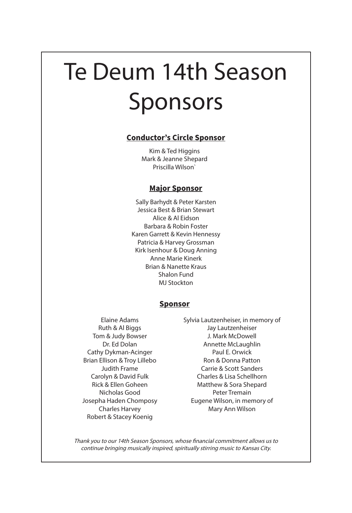# Te Deum 14th Season Sponsors

### **Conductor's Circle Sponsor**

Kim & Ted Higgins Mark & Jeanne Shepard Priscilla Wilson`

### **Major Sponsor**

Sally Barhydt & Peter Karsten Jessica Best & Brian Stewart Alice & Al Eidson Barbara & Robin Foster Karen Garrett & Kevin Hennessy Patricia & Harvey Grossman Kirk Isenhour & Doug Anning Anne Marie Kinerk Brian & Nanette Kraus Shalon Fund MJ Stockton

### **Sponsor**

- Elaine Adams Ruth & Al Biggs Tom & Judy Bowser Dr. Ed Dolan Cathy Dykman-Acinger Brian Ellison & Troy Lillebo Judith Frame Carolyn & David Fulk Rick & Ellen Goheen Nicholas Good Josepha Haden Chomposy Charles Harvey Robert & Stacey Koenig
- Sylvia Lautzenheiser, in memory of Jay Lautzenheiser J. Mark McDowell Annette McLaughlin Paul E. Orwick Ron & Donna Patton Carrie & Scott Sanders Charles & Lisa Schellhorn Matthew & Sora Shepard Peter Tremain Eugene Wilson, in memory of Mary Ann Wilson

Thank you to our 14th Season Sponsors, whose financial commitment allows us to continue bringing musically inspired, spiritually stirring music to Kansas City.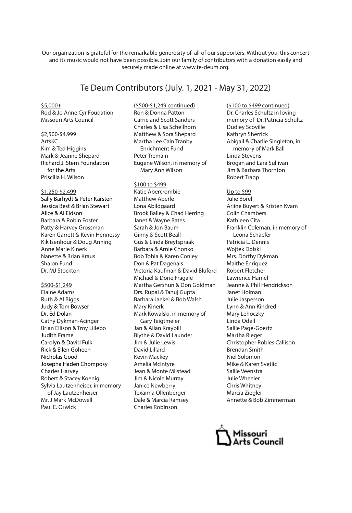Our organization is grateful for the remarkable generosity of all of our supporters. Without you, this concert and its music would not have been possible. Join our family of contributors with a donation easily and securely made online at www.te-deum.org.

### Te Deum Contributors (July. 1, 2021 - May 31, 2022)

 $$5,000+$ Rod & Jo Anne Cyr Foudation Missouri Arts Council

### \$2,500-\$4,999

ArtsKC Kim & Ted Higgins Mark & Jeanne Shepard Richard J. Stern Foundation for the Arts Priscilla H. Wilson

### \$1,250-\$2,499

Sally Barhydt & Peter Karsten Jessica Best & Brian Stewart Alice & Al Eidson Barbara & Robin Foster Patty & Harvey Grossman Karen Garrett & Kevin Hennessy Kik Isenhour & Doug Anning Anne Marie Kinerk Nanette & Brian Kraus Shalon Fund Dr. MJ Stockton

### \$500-\$1,249

Elaine Adams Ruth & Al Biggs Judy & Tom Bowser Dr. Ed Dolan Cathy Dykman-Acinger Brian Ellison & Troy Lillebo Judith Frame Carolyn & David Fulk Rick & Ellen Goheen Nicholas Good Josepha Haden Chomposy Charles Harvey Robert & Stacey Koenig Sylvia Lautzenheiser, in memory of Jay Lautzenheiser Mr. J Mark McDowell Paul E. Orwick

(\$500-\$1,249 continued) Ron & Donna Patton Carrie and Scott Sanders Charles & Lisa Schellhorn Matthew & Sora Shepard Martha Lee Cain Tranby Enrichment Fund Peter Tremain Eugene Wilson, in memory of Mary Ann Wilson

\$100 to \$499 Katie Abercrombie Matthew Aberle Lona Abildgaard Brook Bailey & Chad Herring Janet & Wayne Bates Sarah & Jon Baum Ginny & Scott Beall Gus & Linda Breytspraak Barbara & Arnie Chonko Bob Tobia & Karen Conley Don & Pat Dagenais Victoria Kaufman & David Bluford Michael & Dorie Fragale Martha Gershun & Don Goldman Drs. Rupal & Tanuj Gupta Barbara Jaekel & Bob Walsh Mary Kinerk Mark Kowalski, in memory of Gary Teigtmeier Jan & Allan Kraybill Blythe & David Launder Jim & Julie Lewis David Lillard Kevin Mackey Amelia McIntyre Jean & Monte Milstead Jim & Nicole Murray Janice Newberry Texanna Ollenberger Dale & Marcia Ramsey Charles Robinson

(\$100 to \$499 continued) Dr. Charles Schultz in loving memory of Dr. Patricia Schultz Dudley Scoville Kathryn Sherrick Abigail & Charlie Singleton, in memory of Mark Ball Linda Stevens Brogan and Lara Sullivan Jim & Barbara Thornton Robert Trapp

Up to \$99 Julie Borel Arline Buyert & Kristen Kvam Colin Chambers Kathleen Cita Franklin Coleman, in memory of Leona Schaefer Patricia L. Dennis Wojtek Dolski Mrs. Dorthy Dykman Maithe Enriquez Robert Fletcher Lawrence Hamel Jeanne & Phil Hendrickson Janet Holman Julie Jasperson Lynn & Ann Kindred Mary Lehoczky Linda Odell Sallie Page-Goertz Martha Rieger Christopher Robles Callison Brendan Smith Niel Solomon Mike & Karen Svetlic Sallie Veenstra Julie Wheeler Chris Whitney Marcia Ziegler Annette & Bob Zimmerman